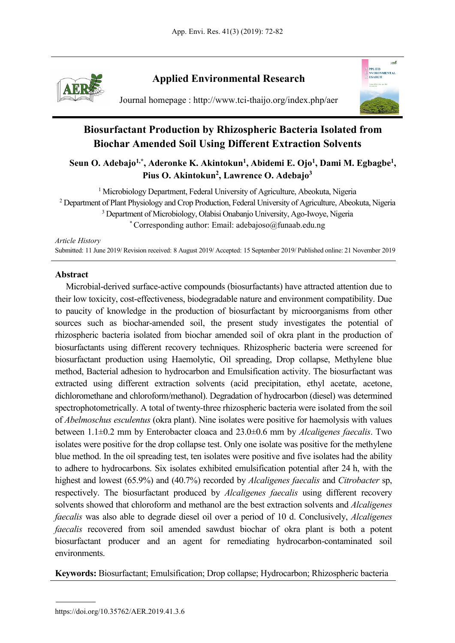

# **Applied Environmental Research**



Journal homepage : http://www.tci-thaijo.org/index.php/aer

# **Biosurfactant Production by Rhizospheric Bacteria Isolated from Biochar Amended Soil Using Different Extraction Solvents**

Seun O. Adebajo<sup>1,\*</sup>, Aderonke K. Akintokun<sup>1</sup>, Abidemi E. Ojo<sup>1</sup>, Dami M. Egbagbe<sup>1</sup>, Pius O. Akintokun<sup>2</sup>, Lawrence O. Adebajo<sup>3</sup>

<sup>1</sup> Microbiology Department, Federal University of Agriculture, Abeokuta, Nigeria <sup>2</sup> Department of Plant Physiology and Crop Production, Federal University of Agriculture, Abeokuta, Nigeria <sup>3</sup> Department of Microbiology, Olabisi Onabanjo University, Ago-Iwoye, Nigeria \* Corresponding author: Email: adebajoso@funaab.edu.ng

*Article History*

Submitted: 11 June 2019/ Revision received: 8 August 2019/ Accepted: 15 September 2019/ Published online: 21 November 2019

# **Abstract**

Microbial-derived surface-active compounds (biosurfactants) have attracted attention due to their low toxicity, cost-effectiveness, biodegradable nature and environment compatibility. Due to paucity of knowledge in the production of biosurfactant by microorganisms from other sources such as biochar-amended soil, the present study investigates the potential of rhizospheric bacteria isolated from biochar amended soil of okra plant in the production of biosurfactants using different recovery techniques. Rhizospheric bacteria were screened for biosurfactant production using Haemolytic, Oil spreading, Drop collapse, Methylene blue method, Bacterial adhesion to hydrocarbon and Emulsification activity. The biosurfactant was extracted using different extraction solvents (acid precipitation, ethyl acetate, acetone, dichloromethane and chloroform/methanol). Degradation of hydrocarbon (diesel) was determined spectrophotometrically. A total of twenty-three rhizospheric bacteria were isolated from the soil of *Abelmoschus esculentus* (okra plant). Nine isolates were positive for haemolysis with values between 1.1±0.2 mm by Enterobacter cloaca and 23.0±0.6 mm by *Alcaligenes faecalis*. Two isolates were positive for the drop collapse test. Only one isolate was positive for the methylene blue method. In the oil spreading test, ten isolates were positive and five isolates had the ability to adhere to hydrocarbons. Six isolates exhibited emulsification potential after 24 h, with the highest and lowest (65.9%) and (40.7%) recorded by *Alcaligenes faecalis* and *Citrobacter* sp, respectively. The biosurfactant produced by *Alcaligenes faecalis* using different recovery solvents showed that chloroform and methanol are the best extraction solvents and *Alcaligenes faecalis* was also able to degrade diesel oil over a period of 10 d. Conclusively, *Alcaligenes faecalis* recovered from soil amended sawdust biochar of okra plant is both a potent biosurfactant producer and an agent for remediating hydrocarbon-contaminated soil environments.

**Keywords:** Biosurfactant; Emulsification; Drop collapse; Hydrocarbon; Rhizospheric bacteria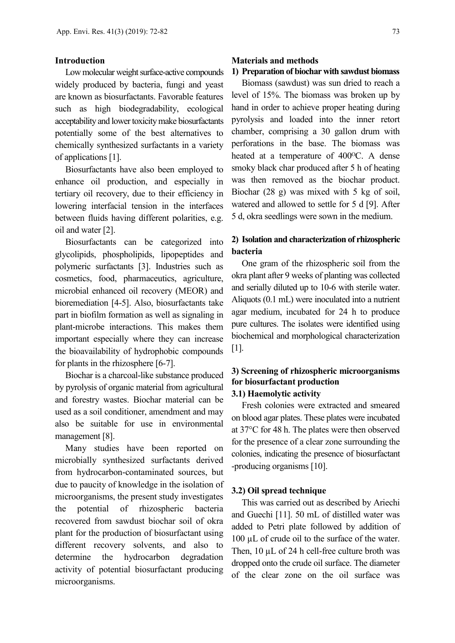### **Introduction**

Low molecular weight surface-active compounds widely produced by bacteria, fungi and yeast are known as biosurfactants. Favorable features such as high biodegradability, ecological acceptability and lower toxicity make biosurfactants potentially some of the best alternatives to chemically synthesized surfactants in a variety of applications [1].

Biosurfactants have also been employed to enhance oil production, and especially in tertiary oil recovery, due to their efficiency in lowering interfacial tension in the interfaces between fluids having different polarities, e.g. oil and water [2].

Biosurfactants can be categorized into glycolipids, phospholipids, lipopeptides and polymeric surfactants [3]. Industries such as cosmetics, food, pharmaceutics, agriculture, microbial enhanced oil recovery (MEOR) and bioremediation [4-5]. Also, biosurfactants take part in biofilm formation as well as signaling in plant-microbe interactions. This makes them important especially where they can increase the bioavailability of hydrophobic compounds for plants in the rhizosphere [6-7].

Biochar is a charcoal-like substance produced by pyrolysis of organic material from agricultural and forestry wastes. Biochar material can be used as a soil conditioner, amendment and may also be suitable for use in environmental management [8].

Many studies have been reported on microbially synthesized surfactants derived from hydrocarbon-contaminated sources, but due to paucity of knowledge in the isolation of microorganisms, the present study investigates the potential of rhizospheric bacteria recovered from sawdust biochar soil of okra plant for the production of biosurfactant using different recovery solvents, and also to determine the hydrocarbon degradation activity of potential biosurfactant producing microorganisms.

#### **Materials and methods**

# **1) Preparation of biochar with sawdust biomass**

Biomass (sawdust) was sun dried to reach a level of 15%. The biomass was broken up by hand in order to achieve proper heating during pyrolysis and loaded into the inner retort chamber, comprising a 30 gallon drum with perforations in the base. The biomass was heated at a temperature of 400<sup>o</sup>C. A dense smoky black char produced after 5 h of heating was then removed as the biochar product. Biochar (28 g) was mixed with 5 kg of soil, watered and allowed to settle for 5 d [9]. After 5 d, okra seedlings were sown in the medium.

# **2) Isolation and characterization of rhizospheric bacteria**

One gram of the rhizospheric soil from the okra plant after 9 weeks of planting was collected and serially diluted up to 10-6 with sterile water. Aliquots (0.1 mL) were inoculated into a nutrient agar medium, incubated for 24 h to produce pure cultures. The isolates were identified using biochemical and morphological characterization  $[1]$ .

## **3) Screening of rhizospheric microorganisms for biosurfactant production 3.1) Haemolytic activity**

Fresh colonies were extracted and smeared on blood agar plates. These plates were incubated at 37°C for 48 h. The plates were then observed for the presence of a clear zone surrounding the colonies, indicating the presence of biosurfactant -producing organisms [10].

### **3.2) Oil spread technique**

This was carried out as described by Ariechi and Guechi [11]. 50 mL of distilled water was added to Petri plate followed by addition of 100 µL of crude oil to the surface of the water. Then, 10 µL of 24 h cell-free culture broth was dropped onto the crude oil surface. The diameter of the clear zone on the oil surface was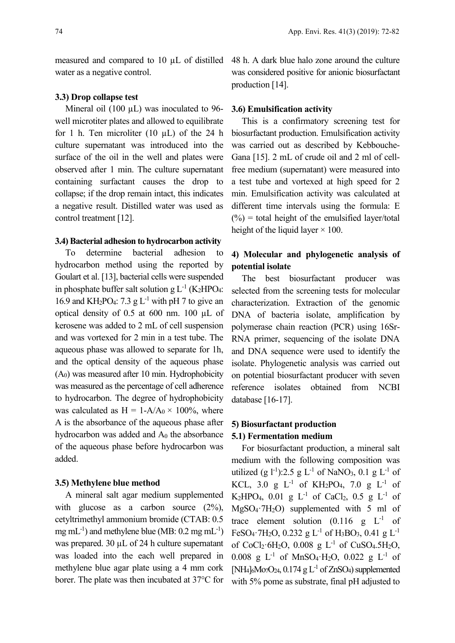measured and compared to 10 µL of distilled water as a negative control.

### **3.3) Drop collapse test**

Mineral oil (100  $\mu$ L) was inoculated to 96well microtiter plates and allowed to equilibrate for 1 h. Ten microliter (10  $\mu$ L) of the 24 h culture supernatant was introduced into the surface of the oil in the well and plates were observed after 1 min. The culture supernatant containing surfactant causes the drop to collapse; if the drop remain intact, this indicates a negative result. Distilled water was used as control treatment [12].

#### **3.4) Bacterial adhesion to hydrocarbon activity**

To determine bacterial adhesion to hydrocarbon method using the reported by Goulart et al. [13], bacterial cells were suspended in phosphate buffer salt solution g  $L^{-1}$  (K<sub>2</sub>HPO<sub>4</sub>: 16.9 and KH<sub>2</sub>PO<sub>4</sub>: 7.3 g L<sup>-1</sup> with pH 7 to give an optical density of 0.5 at 600 nm. 100 µL of kerosene was added to 2 mL of cell suspension and was vortexed for 2 min in a test tube. The aqueous phase was allowed to separate for 1h, and the optical density of the aqueous phase  $(A<sub>0</sub>)$  was measured after 10 min. Hydrophobicity was measured as the percentage of cell adherence to hydrocarbon. The degree of hydrophobicity was calculated as  $H = 1-A/A_0 \times 100\%$ , where A is the absorbance of the aqueous phase after hydrocarbon was added and  $A_0$  the absorbance of the aqueous phase before hydrocarbon was added.

### **3.5) Methylene blue method**

A mineral salt agar medium supplemented with glucose as a carbon source  $(2\%)$ , cetyltrimethyl ammonium bromide (CTAB: 0.5 mg mL<sup>-1</sup>) and methylene blue (MB:  $0.2 \text{ mg} \text{ mL}^{-1}$ ) was prepared. 30  $\mu$ L of 24 h culture supernatant was loaded into the each well prepared in methylene blue agar plate using a 4 mm cork borer. The plate was then incubated at 37°C for 48 h. A dark blue halo zone around the culture was considered positive for anionic biosurfactant production [14].

#### **3.6) Emulsification activity**

This is a confirmatory screening test for biosurfactant production. Emulsification activity was carried out as described by Kebbouche-Gana [15]. 2 mL of crude oil and 2 ml of cellfree medium (supernatant) were measured into a test tube and vortexed at high speed for 2 min. Emulsification activity was calculated at different time intervals using the formula: E  $(%)$  = total height of the emulsified layer/total height of the liquid layer  $\times$  100.

# **4) Molecular and phylogenetic analysis of potential isolate**

The best biosurfactant producer was selected from the screening tests for molecular characterization. Extraction of the genomic DNA of bacteria isolate, amplification by polymerase chain reaction (PCR) using 16Sr-RNA primer, sequencing of the isolate DNA and DNA sequence were used to identify the isolate. Phylogenetic analysis was carried out on potential biosurfactant producer with seven reference isolates obtained from NCBI database [16-17].

# **5) Biosurfactant production 5.1) Fermentation medium**

For biosurfactant production, a mineral salt medium with the following composition was utilized (g  $1^{-1}$ ):2.5 g L<sup>-1</sup> of NaNO<sub>3</sub>, 0.1 g L<sup>-1</sup> of KCL, 3.0 g  $L^{-1}$  of KH<sub>2</sub>PO<sub>4</sub>, 7.0 g  $L^{-1}$  of K<sub>2</sub>HPO<sub>4</sub>, 0.01 g L<sup>-1</sup> of CaCl<sub>2</sub>, 0.5 g L<sup>-1</sup> of MgSO4·7H2O) supplemented with 5 ml of trace element solution  $(0.116 \text{ g} L^{-1} \text{ of}$ FeSO<sub>4</sub>·7H<sub>2</sub>O, 0.232 g L<sup>-1</sup> of H<sub>3</sub>BO<sub>3</sub>, 0.41 g L<sup>-1</sup> of  $CoCl_2·6H_2O$ , 0.008 g  $L^{-1}$  of CuSO<sub>4</sub>.5H<sub>2</sub>O, 0.008 g  $L^{-1}$  of MnSO<sub>4</sub>·H<sub>2</sub>O, 0.022 g  $L^{-1}$  of [NH<sub>4</sub>]<sub>6</sub>Mo<sub>7</sub>O<sub>24</sub>, 0.174 g L<sup>-1</sup> of ZnSO<sub>4</sub>) supplemented with 5% pome as substrate, final pH adjusted to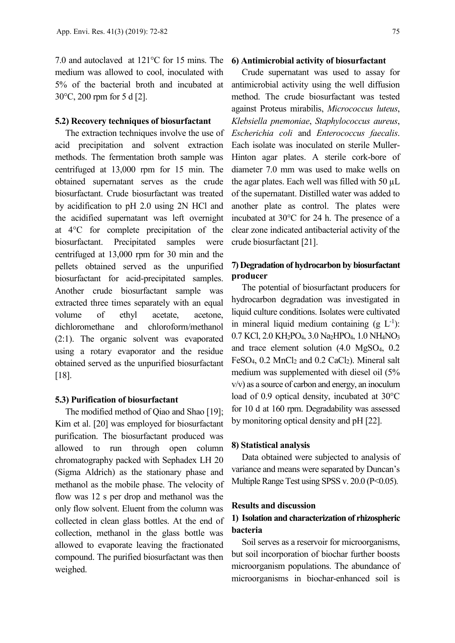7.0 and autoclaved at 121°C for 15 mins. The medium was allowed to cool, inoculated with 5% of the bacterial broth and incubated at 30°C, 200 rpm for 5 d [2].

### **5.2) Recovery techniques of biosurfactant**

The extraction techniques involve the use of acid precipitation and solvent extraction methods. The fermentation broth sample was centrifuged at 13,000 rpm for 15 min. The obtained supernatant serves as the crude biosurfactant. Crude biosurfactant was treated by acidification to pH 2.0 using 2N HCl and the acidified supernatant was left overnight at 4°C for complete precipitation of the biosurfactant. Precipitated samples were centrifuged at 13,000 rpm for 30 min and the pellets obtained served as the unpurified biosurfactant for acid-precipitated samples. Another crude biosurfactant sample was extracted three times separately with an equal volume of ethyl acetate, acetone, dichloromethane and chloroform/methanol (2:1). The organic solvent was evaporated using a rotary evaporator and the residue obtained served as the unpurified biosurfactant [18].

### **5.3) Purification of biosurfactant**

The modified method of Qiao and Shao [19]; Kim et al. [20] was employed for biosurfactant purification. The biosurfactant produced was allowed to run through open column chromatography packed with Sephadex LH 20 (Sigma Aldrich) as the stationary phase and methanol as the mobile phase. The velocity of flow was 12 s per drop and methanol was the only flow solvent. Eluent from the column was collected in clean glass bottles. At the end of collection, methanol in the glass bottle was allowed to evaporate leaving the fractionated compound. The purified biosurfactant was then weighed.

#### **6) Antimicrobial activity of biosurfactant**

Crude supernatant was used to assay for antimicrobial activity using the well diffusion method. The crude biosurfactant was tested against Proteus mirabilis, *Micrococcus luteus*, *Klebsiella pnemoniae*, *Staphylococcus aureus*, *Escherichia coli* and *Enterococcus faecalis*. Each isolate was inoculated on sterile Muller-Hinton agar plates. A sterile cork-bore of diameter 7.0 mm was used to make wells on the agar plates. Each well was filled with 50  $\mu$ L of the supernatant. Distilled water was added to another plate as control. The plates were incubated at 30°C for 24 h. The presence of a clear zone indicated antibacterial activity of the crude biosurfactant [21].

# **7) Degradation of hydrocarbon by biosurfactant producer**

The potential of biosurfactant producers for hydrocarbon degradation was investigated in liquid culture conditions. Isolates were cultivated in mineral liquid medium containing  $(g L^{-1})$ : 0.7 KCl, 2.0 KH2PO4, 3.0 Na2HPO4, 1.0 NH4NO3 and trace element solution (4.0 MgSO4, 0.2 FeSO<sub>4</sub>, 0.2 MnCl<sub>2</sub> and 0.2 CaCl<sub>2</sub>). Mineral salt medium was supplemented with diesel oil (5% v/v) as a source of carbon and energy, an inoculum load of 0.9 optical density, incubated at 30°C for 10 d at 160 rpm. Degradability was assessed by monitoring optical density and pH [22].

#### **8) Statistical analysis**

Data obtained were subjected to analysis of variance and means were separated by Duncan's Multiple Range Test using SPSS v. 20.0 (P<0.05).

### **Results and discussion**

# **1) Isolation and characterization of rhizospheric bacteria**

Soil serves as a reservoir for microorganisms, but soil incorporation of biochar further boosts microorganism populations. The abundance of microorganisms in biochar-enhanced soil is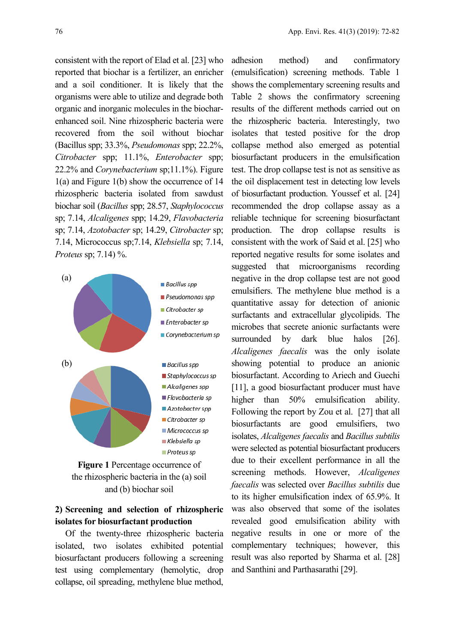consistent with the report of Elad et al. [23] who reported that biochar is a fertilizer, an enricher and a soil conditioner. It is likely that the organisms were able to utilize and degrade both organic and inorganic molecules in the biocharenhanced soil. Nine rhizospheric bacteria were recovered from the soil without biochar (Bacillus spp; 33.3%, *Pseudomonas* spp; 22.2%, *Citrobacter* spp; 11.1%, *Enterobacter* spp; 22.2% and *Corynebacterium* sp;11.1%). Figure 1(a) and Figure 1(b) show the occurrence of 14 rhizospheric bacteria isolated from sawdust biochar soil (*Bacillus* spp; 28.57, *Staphylococcus* sp; 7.14, *Alcaligenes* spp; 14.29, *Flavobacteria* sp; 7.14, *Azotobacter* sp; 14.29, *Citrobacter* sp; 7.14, Micrococcus sp;7.14, *Klebsiella* sp; 7.14, *Proteus* sp; 7.14) %.





# **2) Screening and selection of rhizospheric isolates for biosurfactant production**

Of the twenty-three rhizospheric bacteria isolated, two isolates exhibited potential biosurfactant producers following a screening test using complementary (hemolytic, drop collapse, oil spreading, methylene blue method, adhesion method) and confirmatory (emulsification) screening methods. Table 1 shows the complementary screening results and Table 2 shows the confirmatory screening results of the different methods carried out on the rhizospheric bacteria. Interestingly, two isolates that tested positive for the drop collapse method also emerged as potential biosurfactant producers in the emulsification test. The drop collapse test is not as sensitive as the oil displacement test in detecting low levels of biosurfactant production. Youssef et al. [24] recommended the drop collapse assay as a reliable technique for screening biosurfactant production. The drop collapse results is consistent with the work of Said et al. [25] who reported negative results for some isolates and suggested that microorganisms recording negative in the drop collapse test are not good emulsifiers. The methylene blue method is a quantitative assay for detection of anionic surfactants and extracellular glycolipids. The microbes that secrete anionic surfactants were surrounded by dark blue halos [26]. *Alcaligenes faecalis* was the only isolate showing potential to produce an anionic biosurfactant. According to Ariech and Guechi [11], a good biosurfactant producer must have higher than 50% emulsification ability. Following the report by Zou et al. [27] that all biosurfactants are good emulsifiers, two isolates, *Alcaligenes faecalis* and *Bacillus subtilis* were selected as potential biosurfactant producers due to their excellent performance in all the screening methods. However, *Alcaligenes faecalis* was selected over *Bacillus subtilis* due to its higher emulsification index of 65.9%. It was also observed that some of the isolates revealed good emulsification ability with negative results in one or more of the complementary techniques; however, this result was also reported by Sharma et al. [28] and Santhini and Parthasarathi [29].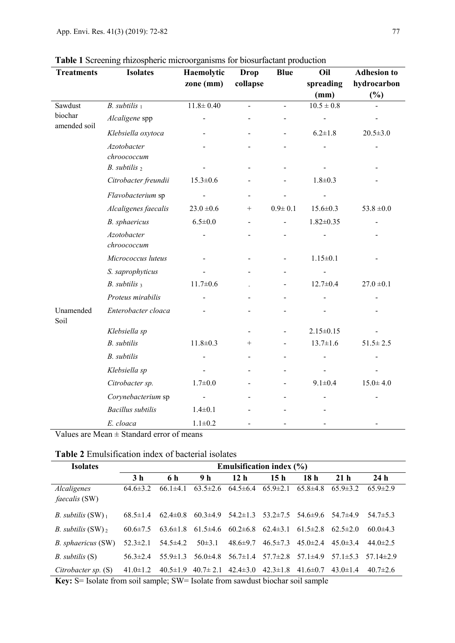| <b>Treatments</b>                  | <b>Isolates</b>            | Haemolytic      | <b>Drop</b> | <b>Blue</b>    | Oil             | <b>Adhesion</b> to |
|------------------------------------|----------------------------|-----------------|-------------|----------------|-----------------|--------------------|
|                                    |                            | zone (mm)       | collapse    |                | spreading       | hydrocarbon        |
|                                    |                            |                 |             |                | (mm)            | $(\%)$             |
| Sawdust<br>biochar<br>amended soil | $B.$ subtilis $1$          | $11.8 \pm 0.40$ |             | $\overline{a}$ | $10.5 \pm 0.8$  |                    |
|                                    | Alcaligene spp             |                 |             |                |                 |                    |
|                                    | Klebsiella oxytoca         |                 |             |                | $6.2 \pm 1.8$   | $20.5 \pm 3.0$     |
|                                    | Azotobacter<br>chroococcum |                 |             |                |                 |                    |
|                                    | $B.$ subtilis $2$          |                 |             |                |                 |                    |
|                                    | Citrobacter freundii       | $15.3 \pm 0.6$  |             |                | $1.8 + 0.3$     |                    |
|                                    | Flavobacterium sp          |                 |             |                |                 |                    |
|                                    | Alcaligenes faecalis       | $23.0 \pm 0.6$  | $^{+}$      | $0.9 + 0.1$    | $15.6 \pm 0.3$  | $53.8 \pm 0.0$     |
|                                    | B. sphaericus              | $6.5 \pm 0.0$   |             |                | $1.82 \pm 0.35$ |                    |
|                                    | Azotobacter<br>chroococcum |                 |             |                |                 |                    |
|                                    | Micrococcus luteus         |                 |             |                | $1.15 \pm 0.1$  |                    |
|                                    | S. saprophyticus           |                 |             |                |                 |                    |
|                                    | $B.$ subtilis $_3$         | $11.7 \pm 0.6$  |             |                | $12.7 \pm 0.4$  | $27.0 \pm 0.1$     |
|                                    | Proteus mirabilis          |                 |             |                |                 |                    |
| Unamended<br>Soil                  | Enterobacter cloaca        |                 |             |                |                 |                    |
|                                    | Klebsiella sp              |                 |             |                | $2.15 \pm 0.15$ |                    |
|                                    | <b>B.</b> subtilis         | $11.8 \pm 0.3$  | $^{+}$      |                | $13.7 \pm 1.6$  | $51.5 \pm 2.5$     |
|                                    | <b>B.</b> subtilis         |                 |             |                |                 |                    |
|                                    | Klebsiella sp              |                 |             | ۰              |                 |                    |
|                                    | Citrobacter sp.            | $1.7 \pm 0.0$   |             |                | $9.1 \pm 0.4$   | $15.0 \pm 4.0$     |
|                                    | Corynebacterium sp         |                 |             |                |                 |                    |
|                                    | <b>Bacillus</b> subtilis   | $1.4 \pm 0.1$   |             |                |                 |                    |
|                                    | E. cloaca                  | $1.1 \pm 0.2$   |             |                |                 |                    |

|  | Table 1 Screening rhizospheric microorganisms for biosurfactant production |
|--|----------------------------------------------------------------------------|
|  |                                                                            |

Values are Mean  $\pm$  Standard error of means

## **Table 2** Emulsification index of bacterial isolates

| <b>Isolates</b>                     | Emulsification index $(\% )$ |                |                               |                                        |                               |                                                                                                                                                                                                                                                       |                 |                                |
|-------------------------------------|------------------------------|----------------|-------------------------------|----------------------------------------|-------------------------------|-------------------------------------------------------------------------------------------------------------------------------------------------------------------------------------------------------------------------------------------------------|-----------------|--------------------------------|
|                                     | 3 <sub>h</sub>               | 6 h            | 9 <sub>h</sub>                | 12 <sub>h</sub>                        | 15 <sub>h</sub>               | 18 <sub>h</sub>                                                                                                                                                                                                                                       | 21 <sub>h</sub> | 24 <sub>h</sub>                |
| Alcaligenes<br><i>faecalis</i> (SW) | $64.6 \pm 3.2$               | $66.1\pm4.1$   |                               | $63.5\pm2.6$ $64.5\pm6.4$ $65.9\pm2.1$ |                               | $65.8 \pm 4.8$                                                                                                                                                                                                                                        | $65.9 \pm 3.2$  | $65.9 \pm 2.9$                 |
| <i>B.</i> subtilis $(SW)_1$         | $68.5 \pm 1.4$               | $62.4 \pm 0.8$ |                               | $60.3\pm4.9$ $54.2\pm1.3$              | $53.2 \pm 7.5$                | 54.6±9.6                                                                                                                                                                                                                                              | 54.7±4.9        | $54.7 \pm 5.3$                 |
| <i>B. subtilis</i> $(SW)_2$         | $60.6 \pm 7.5$               |                | $63.6\pm1.8$ $61.5\pm4.6$     | $60.2 \pm 6.8$                         | $62.4 \pm 3.1$                | $61.5 \pm 2.8$                                                                                                                                                                                                                                        | $62.5 \pm 2.0$  | $60.0 \pm 4.3$                 |
| B. sphaericus (SW)                  | $52.3 \pm 2.1$               | $54.5 \pm 4.2$ | $50\pm3.1$                    | $48.6 \pm 9.7$                         | $46.5 \pm 7.3$                | $45.0 \pm 2.4$                                                                                                                                                                                                                                        | $45.0 \pm 3.4$  | $44.0 \pm 2.5$                 |
| $B.$ subtilis $(S)$                 | $56.3 \pm 2.4$               | $55.9 \pm 1.3$ | $56.0 \pm 4.8$                | $56.7 \pm 1.4$                         | $57.7 \pm 2.8$ $57.1 \pm 4.9$ |                                                                                                                                                                                                                                                       |                 | $57.1 \pm 5.3$ $57.14 \pm 2.9$ |
| Citrobacter sp. $(S)$               | $41.0 \pm 1.2$               |                | $40.5 \pm 1.9$ $40.7 \pm 2.1$ | $42.4 \pm 3.0$                         | $42.3 \pm 1.8$                | 41.6 $\pm$ 0.7<br>$\overline{a}$ , and the contract of the contract of the contract of the contract of the contract of the contract of the contract of the contract of the contract of the contract of the contract of the contract of the contract o | $43.0 \pm 1.4$  | $40.7 \pm 2.6$                 |

**Key:** S= Isolate from soil sample; SW= Isolate from sawdust biochar soil sample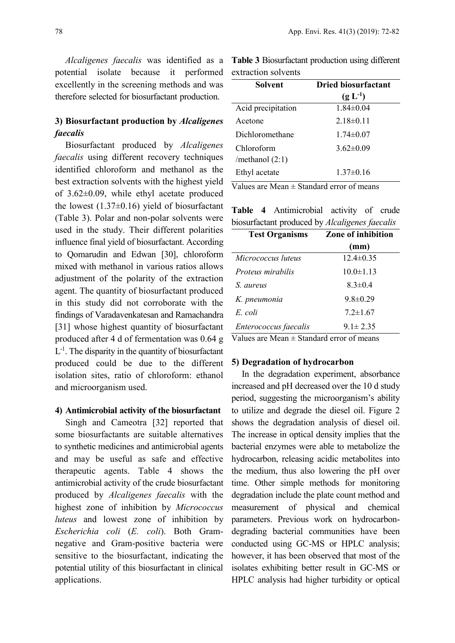*Alcaligenes faecalis* was identified as a potential isolate because it performed excellently in the screening methods and was therefore selected for biosurfactant production.

# **3) Biosurfactant production by** *Alcaligenes faecalis*

Biosurfactant produced by *Alcaligenes faecalis* using different recovery techniques identified chloroform and methanol as the best extraction solvents with the highest yield of 3.62±0.09, while ethyl acetate produced the lowest  $(1.37\pm0.16)$  yield of biosurfactant (Table 3). Polar and non-polar solvents were used in the study. Their different polarities influence final yield of biosurfactant. According to Qomarudin and Edwan [30], chloroform mixed with methanol in various ratios allows adjustment of the polarity of the extraction agent. The quantity of biosurfactant produced in this study did not corroborate with the findings of Varadavenkatesan and Ramachandra [31] whose highest quantity of biosurfactant produced after 4 d of fermentation was 0.64 g  $L^{-1}$ . The disparity in the quantity of biosurfactant produced could be due to the different isolation sites, ratio of chloroform: ethanol and microorganism used.

### **4) Antimicrobial activity of the biosurfactant**

Singh and Cameotra [32] reported that some biosurfactants are suitable alternatives to synthetic medicines and antimicrobial agents and may be useful as safe and effective therapeutic agents. Table 4 shows the antimicrobial activity of the crude biosurfactant produced by *Alcaligenes faecalis* with the highest zone of inhibition by *Micrococcus luteus* and lowest zone of inhibition by *Escherichia coli* (*E. coli*). Both Gramnegative and Gram-positive bacteria were sensitive to the biosurfactant, indicating the potential utility of this biosurfactant in clinical applications.

**Table 3** Biosurfactant production using different extraction solvents

| Solvent                         | <b>Dried biosurfactant</b> |  |  |  |  |
|---------------------------------|----------------------------|--|--|--|--|
|                                 | $(g L^{-1})$               |  |  |  |  |
| Acid precipitation              | $1.84 \pm 0.04$            |  |  |  |  |
| Acetone                         | $2.18\pm0.11$              |  |  |  |  |
| Dichloromethane                 | $1.74 \pm 0.07$            |  |  |  |  |
| Chloroform<br>/methanol $(2:1)$ | $3.62 \pm 0.09$            |  |  |  |  |
| Ethyl acetate                   | $1.37\pm0.16$              |  |  |  |  |

Values are Mean  $\pm$  Standard error of means

**Table 4** Antimicrobial activity of crude biosurfactant produced by *Alcaligenes faecalis*

| <b>Test Organisms</b> | Zone of inhibition |  |  |  |  |
|-----------------------|--------------------|--|--|--|--|
|                       | (mm)               |  |  |  |  |
| Micrococcus luteus    | $12.4 \pm 0.35$    |  |  |  |  |
| Proteus mirabilis     | $10.0 \pm 1.13$    |  |  |  |  |
| S. aureus             | $8.3 \pm 0.4$      |  |  |  |  |
| K. pneumonia          | $9.8 \pm 0.29$     |  |  |  |  |
| E coli                | $7.2 \pm 1.67$     |  |  |  |  |
| Enterococcus faecalis | $9.1 \pm 2.35$     |  |  |  |  |

Values are Mean  $\pm$  Standard error of means

#### **5) Degradation of hydrocarbon**

In the degradation experiment, absorbance increased and pH decreased over the 10 d study period, suggesting the microorganism's ability to utilize and degrade the diesel oil. Figure 2 shows the degradation analysis of diesel oil. The increase in optical density implies that the bacterial enzymes were able to metabolize the hydrocarbon, releasing acidic metabolites into the medium, thus also lowering the pH over time. Other simple methods for monitoring degradation include the plate count method and measurement of physical and chemical parameters. Previous work on hydrocarbondegrading bacterial communities have been conducted using GC-MS or HPLC analysis; however, it has been observed that most of the isolates exhibiting better result in GC-MS or HPLC analysis had higher turbidity or optical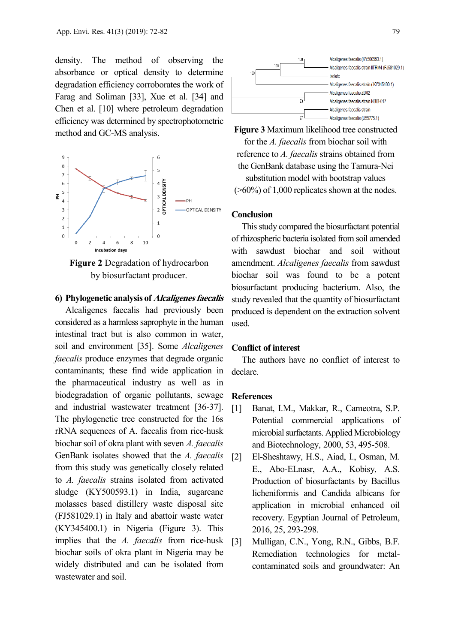density. The method of observing the absorbance or optical density to determine degradation efficiency corroborates the work of Farag and Soliman [33], Xue et al. [34] and Chen et al. [10] where petroleum degradation efficiency was determined by spectrophotometric method and GC-MS analysis.



**Figure 2** Degradation of hydrocarbon by biosurfactant producer.

### **6) Phylogenetic analysis of Alcaligenes faecalis**

Alcaligenes faecalis had previously been considered as a harmless saprophyte in the human intestinal tract but is also common in water, soil and environment [35]. Some *Alcaligenes faecalis* produce enzymes that degrade organic contaminants; these find wide application in the pharmaceutical industry as well as in biodegradation of organic pollutants, sewage and industrial wastewater treatment [36-37]. The phylogenetic tree constructed for the 16s rRNA sequences of A. faecalis from rice-husk biochar soil of okra plant with seven *A. faecalis* GenBank isolates showed that the *A. faecalis* from this study was genetically closely related to *A. faecalis* strains isolated from activated sludge (KY500593.1) in India, sugarcane molasses based distillery waste disposal site (FJ581029.1) in Italy and abattoir waste water (KY345400.1) in Nigeria (Figure 3). This implies that the *A. faecalis* from rice-husk biochar soils of okra plant in Nigeria may be widely distributed and can be isolated from wastewater and soil.



**Figure 3** Maximum likelihood tree constructed for the *A. faecalis* from biochar soil with reference to *A. faecalis* strains obtained from the GenBank database using the Tamura-Nei substitution model with bootstrap values  $($ >60%) of 1,000 replicates shown at the nodes.

### **Conclusion**

This study compared the biosurfactant potential of rhizospheric bacteria isolated from soil amended with sawdust biochar and soil without amendment. *Alcaligenes faecalis* from sawdust biochar soil was found to be a potent biosurfactant producing bacterium. Also, the study revealed that the quantity of biosurfactant produced is dependent on the extraction solvent used.

### **Conflict of interest**

The authors have no conflict of interest to declare.

#### **References**

- [1] Banat, I.M., Makkar, R., Cameotra, S.P. Potential commercial applications of microbial surfactants. Applied Microbiology and Biotechnology, 2000, 53, 495-508.
- [2] El-Sheshtawy, H.S., Aiad, I., Osman, M. E., Abo-ELnasr, A.A., Kobisy, A.S. Production of biosurfactants by Bacillus licheniformis and Candida albicans for application in microbial enhanced oil recovery. Egyptian Journal of Petroleum, 2016, 25, 293-298.
- [3] Mulligan, C.N., Yong, R.N., Gibbs, B.F. Remediation technologies for metalcontaminated soils and groundwater: An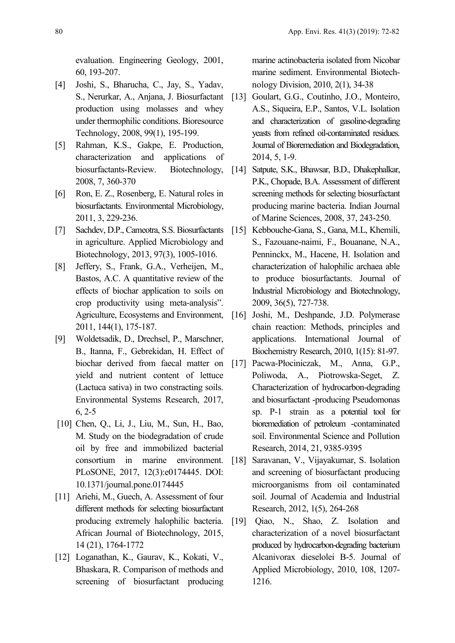evaluation. Engineering Geology, 2001, 60, 193-207.

- [4] Joshi, S., Bharucha, C., Jay, S., Yadav, S., Nerurkar, A., Anjana, J. Biosurfactant production using molasses and whey under thermophilic conditions. Bioresource Technology, 2008, 99(1), 195-199.
- [5] Rahman, K.S., Gakpe, E. Production, characterization and applications of biosurfactants-Review. Biotechnology, 2008, 7, 360-370
- [6] Ron, E. Z., Rosenberg, E. Natural roles in biosurfactants. Environmental Microbiology, 2011, 3, 229-236.
- [7] Sachdev, D.P., Cameotra, S.S. Biosurfactants in agriculture. Applied Microbiology and Biotechnology, 2013, 97(3), 1005-1016.
- [8] Jeffery, S., Frank, G.A., Verheijen, M., Bastos, A.C. A quantitative review of the effects of biochar application to soils on crop productivity using meta-analysis". Agriculture, Ecosystems and Environment, 2011, 144(1), 175-187.
- [9] Woldetsadik, D., Drechsel, P., Marschner, B., Itanna, F., Gebrekidan, H. Effect of biochar derived from faecal matter on yield and nutrient content of lettuce (Lactuca sativa) in two constracting soils. Environmental Systems Research, 2017, 6, 2-5
- [10] Chen, Q., Li, J., Liu, M., Sun, H., Bao, M. Study on the biodegradation of crude oil by free and immobilized bacterial consortium in marine environment. PLoSONE, 2017, 12(3):e0174445. DOI: 10.1371/journal.pone.0174445
- [11] Ariehi, M., Guech, A. Assessment of four different methods for selecting biosurfactant producing extremely halophilic bacteria. African Journal of Biotechnology, 2015, 14 (21), 1764-1772
- [12] Loganathan, K., Gaurav, K., Kokati, V., Bhaskara, R. Comparison of methods and screening of biosurfactant producing

marine actinobacteria isolated from Nicobar marine sediment. Environmental Biotechnology Division, 2010, 2(1), 34-38

- [13] Goulart, G.G., Coutinho, J.O., Monteiro, A.S., Siqueira, E.P., Santos, V.L. Isolation and characterization of gasoline-degrading yeasts from refined oil-contaminated residues. Journal of Bioremediation and Biodegradation, 2014, 5, 1-9.
- [14] Satpute, S.K., Bhawsar, B.D., Dhakephalkar, P.K., Chopade, B.A. Assessment of different screening methods for selecting biosurfactant producing marine bacteria. Indian Journal of Marine Sciences, 2008, 37, 243-250.
- [15] Kebbouche-Gana, S., Gana, M.L, Khemili, S., Fazouane-naimi, F., Bouanane, N.A., Penninckx, M., Hacene, H. Isolation and characterization of halophilic archaea able to produce biosurfactants. Journal of Industrial Microbiology and Biotechnology, 2009, 36(5), 727-738.
- [16] Joshi, M., Deshpande, J.D. Polymerase chain reaction: Methods, principles and applications. International Journal of Biochemistry Research, 2010, 1(15): 81-97.
- [17] Pacwa-Płociniczak, M., Anna, G.P., Poliwoda, A., Piotrowska-Seget, Z. Characterization of hydrocarbon-degrading and biosurfactant -producing Pseudomonas sp. P-1 strain as a potential tool for bioremediation of petroleum -contaminated soil. Environmental Science and Pollution Research, 2014, 21, 9385-9395
- [18] Saravanan, V., Vijayakumar, S. Isolation and screening of biosurfactant producing microorganisms from oil contaminated soil. Journal of Academia and Industrial Research, 2012, 1(5), 264-268
- [19] Qiao, N., Shao, Z. Isolation and characterization of a novel biosurfactant produced by hydrocarbon-degrading bacterium Alcanivorax dieselolei B-5. Journal of Applied Microbiology, 2010, 108, 1207- 1216.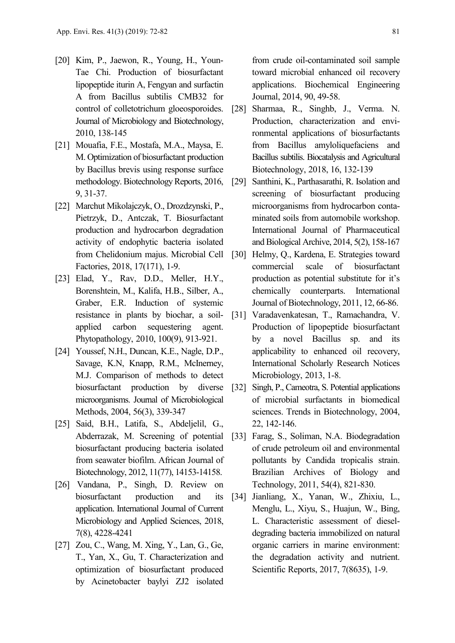- [20] Kim, P., Jaewon, R., Young, H., Youn-Tae Chi. Production of biosurfactant lipopeptide iturin A, Fengyan and surfactin A from Bacillus subtilis CMB32 for control of colletotrichum gloeosporoides. Journal of Microbiology and Biotechnology, 2010, 138-145
- [21] Mouafia, F.E., Mostafa, M.A., Maysa, E. M. Optimization of biosurfactant production by Bacillus brevis using response surface methodology. Biotechnology Reports, 2016, 9, 31-37.
- [22] Marchut Mikolajczyk, O., Drozdzynski, P., Pietrzyk, D., Antczak, T. Biosurfactant production and hydrocarbon degradation activity of endophytic bacteria isolated from Chelidonium majus. Microbial Cell Factories, 2018, 17(171), 1-9.
- [23] Elad, Y., Rav, D.D., Meller, H.Y., Borenshtein, M., Kalifa, H.B., Silber, A., Graber, E.R. Induction of systemic resistance in plants by biochar, a soilapplied carbon sequestering agent. Phytopathology, 2010, 100(9), 913-921.
- [24] Youssef, N.H., Duncan, K.E., Nagle, D.P., Savage, K.N, Knapp, R.M., McInerney, M.J. Comparison of methods to detect biosurfactant production by diverse microorganisms. Journal of Microbiological Methods, 2004, 56(3), 339-347
- [25] Said, B.H., Latifa, S., Abdeljelil, G., Abderrazak, M. Screening of potential biosurfactant producing bacteria isolated from seawater biofilm. African Journal of Biotechnology, 2012, 11(77), 14153-14158.
- [26] Vandana, P., Singh, D. Review on biosurfactant production and its application. International Journal of Current Microbiology and Applied Sciences, 2018, 7(8), 4228-4241
- [27] Zou, C., Wang, M. Xing, Y., Lan, G., Ge, T., Yan, X., Gu, T. Characterization and optimization of biosurfactant produced by Acinetobacter baylyi ZJ2 isolated

from crude oil-contaminated soil sample toward microbial enhanced oil recovery applications. Biochemical Engineering Journal, 2014, 90, 49-58.

- [28] Sharmaa, R., Singhb, J., Verma. N. Production, characterization and environmental applications of biosurfactants from Bacillus amyloliquefaciens and Bacillus subtilis. Biocatalysis and Agricultural Biotechnology, 2018, 16, 132-139
- [29] Santhini, K., Parthasarathi, R. Isolation and screening of biosurfactant producing microorganisms from hydrocarbon contaminated soils from automobile workshop. International Journal of Pharmaceutical and Biological Archive, 2014, 5(2), 158-167
- [30] Helmy, Q., Kardena, E. Strategies toward commercial scale of biosurfactant production as potential substitute for it's chemically counterparts. International Journal of Biotechnology, 2011, 12, 66-86.
- [31] Varadavenkatesan, T., Ramachandra, V. Production of lipopeptide biosurfactant by a novel Bacillus sp. and its applicability to enhanced oil recovery, International Scholarly Research Notices Microbiology, 2013, 1-8.
- [32] Singh, P., Cameotra, S. Potential applications of microbial surfactants in biomedical sciences. Trends in Biotechnology, 2004, 22, 142-146.
- [33] Farag, S., Soliman, N.A. Biodegradation of crude petroleum oil and environmental pollutants by Candida tropicalis strain. Brazilian Archives of Biology and Technology, 2011, 54(4), 821-830.
- [34] Jianliang, X., Yanan, W., Zhixiu, L., Menglu, L., Xiyu, S., Huajun, W., Bing, L. Characteristic assessment of dieseldegrading bacteria immobilized on natural organic carriers in marine environment: the degradation activity and nutrient. Scientific Reports, 2017, 7(8635), 1-9.